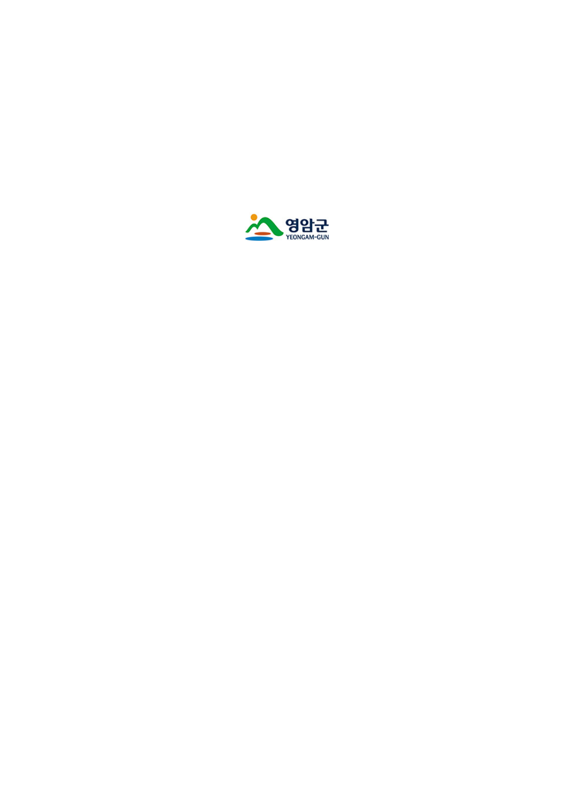